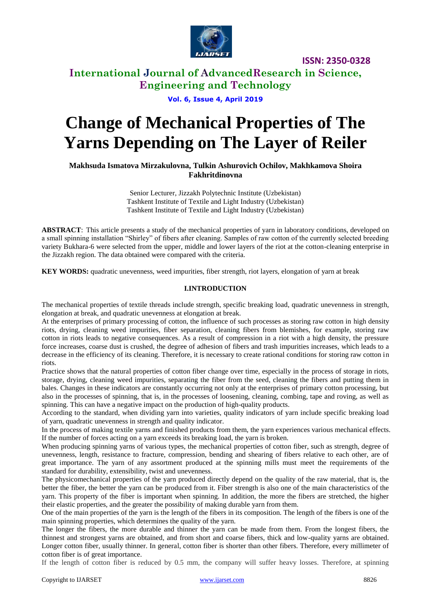

## **International Journal of AdvancedResearch in Science, Engineering and Technology**

#### **Vol. 6, Issue 4, April 2019**

# **Change of Mechanical Properties of The Yarns Depending on The Layer of Reiler**

**Makhsuda Ismatova Mirzakulovna, Tulkin Ashurovich Ochilov, Makhkamova Shoira Fakhritdinovna**

> Senior Lecturer, Jizzakh Polytechnic Institute (Uzbekistan) Tashkent Institute of Textile and Light Industry (Uzbekistan) Tashkent Institute of Textile and Light Industry (Uzbekistan)

**ABSTRACT**: This article presents a study of the mechanical properties of yarn in laboratory conditions, developed on a small spinning installation "Shirley" of fibers after cleaning. Samples of raw cotton of the currently selected breeding variety Bukhara-6 were selected from the upper, middle and lower layers of the riot at the cotton-cleaning enterprise in the Jizzakh region. The data obtained were compared with the criteria.

**KEY WORDS:** quadratic unevenness, weed impurities, fiber strength, riot layers, elongation of yarn at break

#### **I.INTRODUCTION**

The mechanical properties of textile threads include strength, specific breaking load, quadratic unevenness in strength, elongation at break, and quadratic unevenness at elongation at break.

At the enterprises of primary processing of cotton, the influence of such processes as storing raw cotton in high density riots, drying, cleaning weed impurities, fiber separation, cleaning fibers from blemishes, for example, storing raw cotton in riots leads to negative consequences. As a result of compression in a riot with a high density, the pressure force increases, coarse dust is crushed, the degree of adhesion of fibers and trash impurities increases, which leads to a decrease in the efficiency of its cleaning. Therefore, it is necessary to create rational conditions for storing raw cotton in riots.

Practice shows that the natural properties of cotton fiber change over time, especially in the process of storage in riots, storage, drying, cleaning weed impurities, separating the fiber from the seed, cleaning the fibers and putting them in bales. Changes in these indicators are constantly occurring not only at the enterprises of primary cotton processing, but also in the processes of spinning, that is, in the processes of loosening, cleaning, combing, tape and roving, as well as spinning. This can have a negative impact on the production of high-quality products.

According to the standard, when dividing yarn into varieties, quality indicators of yarn include specific breaking load of yarn, quadratic unevenness in strength and quality indicator.

In the process of making textile yarns and finished products from them, the yarn experiences various mechanical effects. If the number of forces acting on a yarn exceeds its breaking load, the yarn is broken.

When producing spinning yarns of various types, the mechanical properties of cotton fiber, such as strength, degree of unevenness, length, resistance to fracture, compression, bending and shearing of fibers relative to each other, are of great importance. The yarn of any assortment produced at the spinning mills must meet the requirements of the standard for durability, extensibility, twist and unevenness.

The physicomechanical properties of the yarn produced directly depend on the quality of the raw material, that is, the better the fiber, the better the yarn can be produced from it. Fiber strength is also one of the main characteristics of the yarn. This property of the fiber is important when spinning. In addition, the more the fibers are stretched, the higher their elastic properties, and the greater the possibility of making durable yarn from them.

One of the main properties of the yarn is the length of the fibers in its composition. The length of the fibers is one of the main spinning properties, which determines the quality of the yarn.

The longer the fibers, the more durable and thinner the yarn can be made from them. From the longest fibers, the thinnest and strongest yarns are obtained, and from short and coarse fibers, thick and low-quality yarns are obtained. Longer cotton fiber, usually thinner. In general, cotton fiber is shorter than other fibers. Therefore, every millimeter of cotton fiber is of great importance.

If the length of cotton fiber is reduced by 0.5 mm, the company will suffer heavy losses. Therefore, at spinning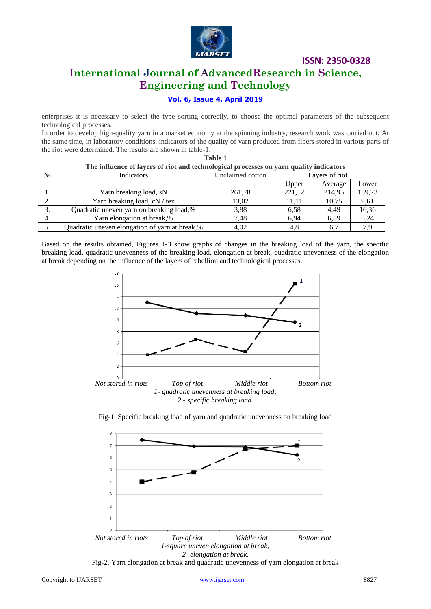

## **International Journal of AdvancedResearch in Science, Engineering and Technology**

## **Vol. 6, Issue 4, April 2019**

enterprises it is necessary to select the type sorting correctly, to choose the optimal parameters of the subsequent technological processes.

In order to develop high-quality yarn in a market economy at the spinning industry, research work was carried out. At the same time, in laboratory conditions, indicators of the quality of yarn produced from fibers stored in various parts of the riot were determined. The results are shown in table-1.

**Table 1**

| The influence of layers of riot and technological processes on yarn quality indicators |                                                |                  |                |         |        |
|----------------------------------------------------------------------------------------|------------------------------------------------|------------------|----------------|---------|--------|
| $N_2$                                                                                  | <b>Indicators</b>                              | Unclaimed cotton | Layers of riot |         |        |
|                                                                                        |                                                |                  | Upper          | Average | Lower  |
|                                                                                        | Yarn breaking load, sN                         | 261,78           | 221.12         | 214,95  | 189,73 |
| ◠                                                                                      | Yarn breaking load, cN / tex                   | 13.02            | 11.11          | 10.75   | 9,61   |
| 3.                                                                                     | Quadratic uneven yarn on breaking load,%       | 3,88             | 6.58           | 4.49    | 16,36  |
| 4.                                                                                     | Yarn elongation at break,%                     | 7.48             | 6.94           | 6,89    | 6,24   |
| 5.                                                                                     | Quadratic uneven elongation of yarn at break,% | 4,02             | 4,8            | 6,7     | 7.9    |

Based on the results obtained, Figures 1-3 show graphs of changes in the breaking load of the yarn, the specific breaking load, quadratic unevenness of the breaking load, elongation at break, quadratic unevenness of the elongation at break depending on the influence of the layers of rebellion and technological processes.



Fig-1. Specific breaking load of yarn and quadratic unevenness on breaking load



Fig-2. Yarn elongation at break and quadratic unevenness of yarn elongation at break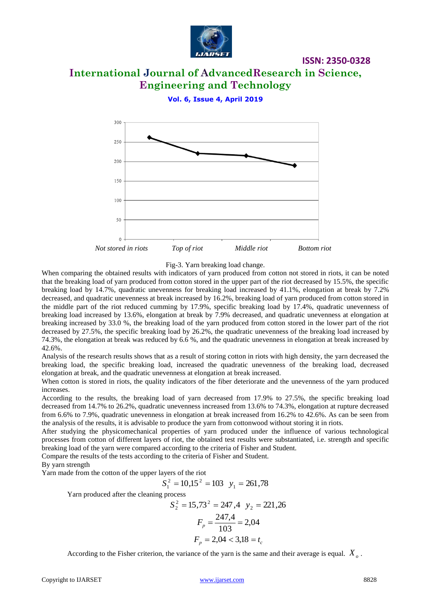

# **International Journal of AdvancedResearch in Science, Engineering and Technology**

**ISSN: 2350-0328**

**Vol. 6, Issue 4, April 2019**



#### Fig-3. Yarn breaking load change.

When comparing the obtained results with indicators of yarn produced from cotton not stored in riots, it can be noted that the breaking load of yarn produced from cotton stored in the upper part of the riot decreased by 15.5%, the specific breaking load by 14.7%, quadratic unevenness for breaking load increased by 41.1%, elongation at break by 7.2% decreased, and quadratic unevenness at break increased by 16.2%, breaking load of yarn produced from cotton stored in the middle part of the riot reduced cumming by 17.9%, specific breaking load by 17.4%, quadratic unevenness of breaking load increased by 13.6%, elongation at break by 7.9% decreased, and quadratic unevenness at elongation at breaking increased by 33.0 %, the breaking load of the yarn produced from cotton stored in the lower part of the riot decreased by 27.5%, the specific breaking load by 26.2%, the quadratic unevenness of the breaking load increased by 74.3%, the elongation at break was reduced by 6.6 %, and the quadratic unevenness in elongation at break increased by 42.6%.

Analysis of the research results shows that as a result of storing cotton in riots with high density, the yarn decreased the breaking load, the specific breaking load, increased the quadratic unevenness of the breaking load, decreased elongation at break, and the quadratic unevenness at elongation at break increased.

When cotton is stored in riots, the quality indicators of the fiber deteriorate and the unevenness of the yarn produced increases.

According to the results, the breaking load of yarn decreased from 17.9% to 27.5%, the specific breaking load decreased from 14.7% to 26.2%, quadratic unevenness increased from 13.6% to 74.3%, elongation at rupture decreased from 6.6% to 7.9%, quadratic unevenness in elongation at break increased from 16.2% to 42.6%. As can be seen from the analysis of the results, it is advisable to produce the yarn from cottonwood without storing it in riots.

After studying the physicomechanical properties of yarn produced under the influence of various technological processes from cotton of different layers of riot, the obtained test results were substantiated, i.e. strength and specific breaking load of the yarn were compared according to the criteria of Fisher and Student.

Compare the results of the tests according to the criteria of Fisher and Student.

By yarn strength

Yarn made from the cotton of the upper layers of the riot

$$
S_1^2 = 10,15^2 = 103
$$
  $y_1 = 261,78$ 

Yarn produced after the cleaning process

$$
S_2^2 = 15,73^2 = 247,4 \ y_2 = 221,26
$$

$$
F_p = \frac{247,4}{103} = 2,04
$$

$$
F_p = 2,04 < 3,18 = t_c
$$

According to the Fisher criterion, the variance of the yarn is the same and their average is equal. *Xo* .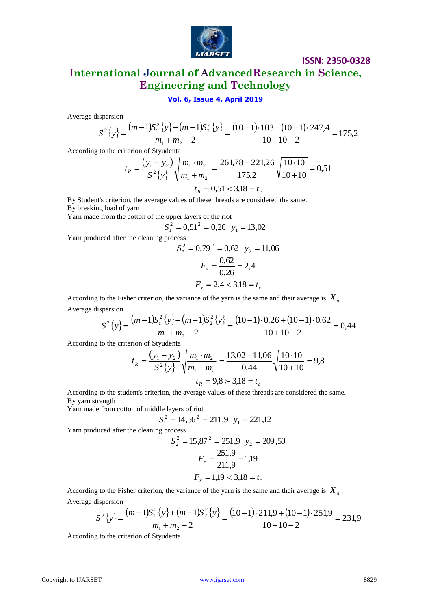

## **International Journal of AdvancedResearch in Science, Engineering and Technology**

### **Vol. 6, Issue 4, April 2019**

Average dispersion

$$
S^{2}\{y\} = \frac{(m-1)S_{1}^{2}\{y\} + (m-1)S_{2}^{2}\{y\}}{m_{1} + m_{2} - 2} = \frac{(10-1) \cdot 103 + (10-1) \cdot 247,4}{10 + 10 - 2} = 175,2
$$

According to the criterion of Styudenta

$$
t_R = \frac{\left(y_1 - y_2\right)}{S^2 \{y\}} \sqrt{\frac{m_1 \cdot m_2}{m_1 + m_2}} = \frac{261,78 - 221,26}{175,2} \sqrt{\frac{10 \cdot 10}{10 + 10}} = 0,51
$$
  

$$
t_R = 0,51 < 3,18 = t_c
$$

By Student's criterion, the average values of these threads are considered the same. By breaking load of yarn

Yarn made from the cotton of the upper layers of the riot

 $S_1^2 = 0,51^2 = 0,26$   $y_1 = 13,02$ 

Yarn produced after the cleaning process

$$
S_2^2 = 0.79^2 = 0.62 \quad y_2 = 11.06
$$

$$
F_x = \frac{0.62}{0.26} = 2.4
$$

$$
F_x = 2.4 < 3.18 = t_c
$$

According to the Fisher criterion, the variance of the yarn is the same and their average is *Xo* . Average dispersion

$$
S^{2}\{y\} = \frac{(m-1)S_{1}^{2}\{y\} + (m-1)S_{2}^{2}\{y\}}{m_{1} + m_{2} - 2} = \frac{(10-1) \cdot 0.26 + (10-1) \cdot 0.62}{10 + 10 - 2} = 0.44
$$

According to the criterion of Styudenta

$$
t_R = \frac{(y_1 - y_2)}{S^2 \{y\}} \sqrt{\frac{m_1 \cdot m_2}{m_1 + m_2}} = \frac{13,02 - 11,06}{0,44} \sqrt{\frac{10 \cdot 10}{10 + 10}} = 9,8
$$
  

$$
t_R = 9,8 \succ 3,18 = t_c
$$

According to the student's criterion, the average values of these threads are considered the same. By yarn strength

Yarn made from cotton of middle layers of riot

$$
S_1^2 = 14,56^2 = 211,9
$$
  $y_1 = 221,12$ 

Yarn produced after the cleaning process

$$
S_2^2 = 15,87^2 = 251,9 \ y_2 = 209,50
$$

$$
F_x = \frac{251,9}{211,9} = 1,19
$$

$$
F_x = 1,19 < 3,18 = t_c
$$

According to the Fisher criterion, the variance of the yarn is the same and their average is *Xo* . Average dispersion

$$
S^{2}\{y\} = \frac{(m-1)S_{1}^{2}\{y\} + (m-1)S_{2}^{2}\{y\}}{m_{1} + m_{2} - 2} = \frac{(10-1) \cdot 211.9 + (10-1) \cdot 251.9}{10 + 10 - 2} = 231.9
$$

According to the criterion of Styudenta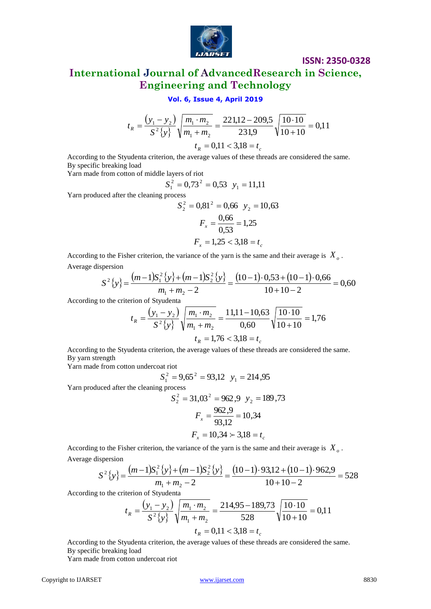

## **International Journal of AdvancedResearch in Science, Engineering and Technology**

#### **Vol. 6, Issue 4, April 2019**

$$
t_R = \frac{\left(y_1 - y_2\right)}{S^2 \{y\}} \sqrt{\frac{m_1 \cdot m_2}{m_1 + m_2}} = \frac{221,12 - 209,5}{231,9} \sqrt{\frac{10 \cdot 10}{10 + 10}} = 0,11
$$
  

$$
t_R = 0,11 < 3,18 = t_c
$$

According to the Styudenta criterion, the average values of these threads are considered the same. By specific breaking load

Yarn made from cotton of middle layers of riot

$$
S_1^2 = 0.73^2 = 0.53
$$
  $y_1 = 11.11$ 

Yarn produced after the cleaning process

$$
S_2^2 = 0,81^2 = 0,66 \quad y_2 = 10,63
$$
\n
$$
F_x = \frac{0,66}{0,53} = 1,25
$$
\n
$$
F_x = 1,25 < 3,18 = t_c
$$

According to the Fisher criterion, the variance of the yarn is the same and their average is *Xo* . Average dispersion

$$
S^{2}\{y\} = \frac{(m-1)S_{1}^{2}\{y\} + (m-1)S_{2}^{2}\{y\}}{m_{1} + m_{2} - 2} = \frac{(10-1) \cdot 0.53 + (10-1) \cdot 0.66}{10 + 10 - 2} = 0.60
$$

According to the criterion of Styudenta

$$
t_R = \frac{\left(y_1 - y_2\right)}{S^2 \{y\}} \sqrt{\frac{m_1 \cdot m_2}{m_1 + m_2}} = \frac{11,11 - 10,63}{0,60} \sqrt{\frac{10 \cdot 10}{10 + 10}} = 1,76
$$
  

$$
t_R = 1,76 < 3,18 = t_c
$$

According to the Styudenta criterion, the average values of these threads are considered the same. By yarn strength

Yarn made from cotton undercoat riot

$$
S_1^2 = 9.65^2 = 93.12
$$
  $y_1 = 214.95$ 

Yarn produced after the cleaning process

$$
S_2^2 = 31,03^2 = 962,9
$$
  $y_2 = 189,73$   
 $F_x = \frac{962,9}{93,12} = 10,34$   
 $F_x = 10,34 \succ 3,18 = t_c$ 

According to the Fisher criterion, the variance of the yarn is the same and their average is *Xo* . Average dispersion

$$
S^{2}\{y\} = \frac{(m-1)S_{1}^{2}\{y\} + (m-1)S_{2}^{2}\{y\}}{m_{1} + m_{2} - 2} = \frac{(10-1) \cdot 93,12 + (10-1) \cdot 962,9}{10 + 10 - 2} = 528
$$

According to the criterion of Styudenta

$$
t_R = \frac{\left(y_1 - y_2\right)}{S^2 \{y\}} \sqrt{\frac{m_1 \cdot m_2}{m_1 + m_2}} = \frac{214,95 - 189,73}{528} \sqrt{\frac{10 \cdot 10}{10 + 10}} = 0,11
$$
  

$$
t_R = 0,11 < 3,18 = t_c
$$

According to the Styudenta criterion, the average values of these threads are considered the same. By specific breaking load

Yarn made from cotton undercoat riot